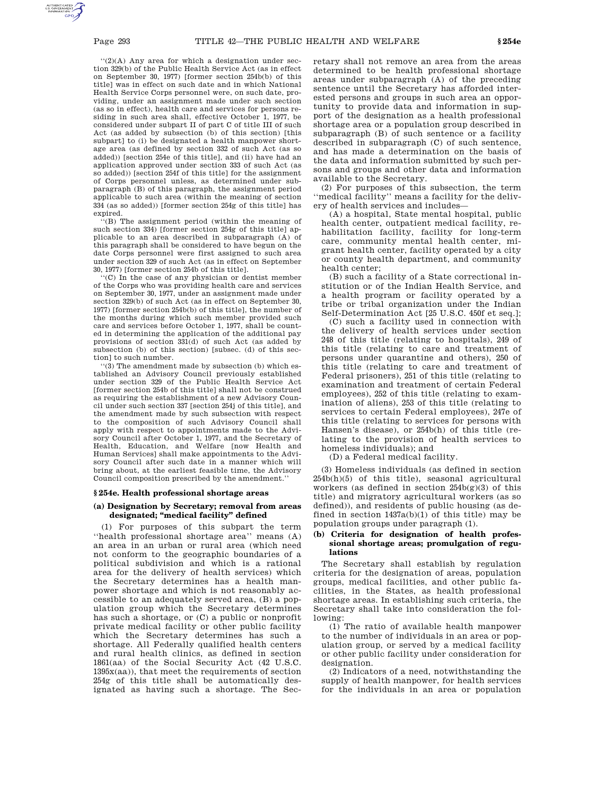''(2)(A) Any area for which a designation under section 329(b) of the Public Health Service Act (as in effect on September 30, 1977) [former section 254b(b) of this title] was in effect on such date and in which National Health Service Corps personnel were, on such date, providing, under an assignment made under such section (as so in effect), health care and services for persons residing in such area shall, effective October 1, 1977, be considered under subpart II of part C of title III of such Act (as added by subsection (b) of this section) [this subpart] to (i) be designated a health manpower shortage area (as defined by section 332 of such Act (as so added)) [section 254e of this title], and (ii) have had an application approved under section 333 of such Act (as so added)) [section 254f of this title] for the assignment of Corps personnel unless, as determined under subparagraph (B) of this paragraph, the assignment period applicable to such area (within the meaning of section 334 (as so added)) [former section 254g of this title] has expired.

''(B) The assignment period (within the meaning of such section 334) [former section 254g of this title] applicable to an area described in subparagraph (A) of this paragraph shall be considered to have begun on the date Corps personnel were first assigned to such area under section 329 of such Act (as in effect on September 30, 1977) [former section 254b of this title].

''(C) In the case of any physician or dentist member of the Corps who was providing health care and services on September 30, 1977, under an assignment made under section 329(b) of such Act (as in effect on September 30, 1977) [former section 254b(b) of this title], the number of the months during which such member provided such care and services before October 1, 1977, shall be counted in determining the application of the additional pay provisions of section 331(d) of such Act (as added by subsection (b) of this section) [subsec. (d) of this section] to such number.

'(3) The amendment made by subsection (b) which established an Advisory Council previously established under section 329 of the Public Health Service Act [former section 254b of this title] shall not be construed as requiring the establishment of a new Advisory Council under such section 337 [section 254j of this title], and the amendment made by such subsection with respect to the composition of such Advisory Council shall apply with respect to appointments made to the Advisory Council after October 1, 1977, and the Secretary of Health, Education, and Welfare [now Health and Human Services] shall make appointments to the Advisory Council after such date in a manner which will bring about, at the earliest feasible time, the Advisory Council composition prescribed by the amendment.''

## **§ 254e. Health professional shortage areas**

# **(a) Designation by Secretary; removal from areas designated; ''medical facility'' defined**

(1) For purposes of this subpart the term ''health professional shortage area'' means (A) an area in an urban or rural area (which need not conform to the geographic boundaries of a political subdivision and which is a rational area for the delivery of health services) which the Secretary determines has a health manpower shortage and which is not reasonably accessible to an adequately served area, (B) a population group which the Secretary determines has such a shortage, or (C) a public or nonprofit private medical facility or other public facility which the Secretary determines has such a shortage. All Federally qualified health centers and rural health clinics, as defined in section 1861(aa) of the Social Security Act (42 U.S.C. 1395x(aa)), that meet the requirements of section 254g of this title shall be automatically designated as having such a shortage. The Secretary shall not remove an area from the areas determined to be health professional shortage areas under subparagraph (A) of the preceding sentence until the Secretary has afforded interested persons and groups in such area an opportunity to provide data and information in support of the designation as a health professional shortage area or a population group described in subparagraph (B) of such sentence or a facility described in subparagraph (C) of such sentence, and has made a determination on the basis of the data and information submitted by such persons and groups and other data and information available to the Secretary.

(2) For purposes of this subsection, the term ''medical facility'' means a facility for the delivery of health services and includes—

(A) a hospital, State mental hospital, public health center, outpatient medical facility, rehabilitation facility, facility for long-term care, community mental health center, migrant health center, facility operated by a city or county health department, and community health center;

(B) such a facility of a State correctional institution or of the Indian Health Service, and a health program or facility operated by a tribe or tribal organization under the Indian Self-Determination Act [25 U.S.C. 450f et seq.];

(C) such a facility used in connection with the delivery of health services under section 248 of this title (relating to hospitals), 249 of this title (relating to care and treatment of persons under quarantine and others), 250 of this title (relating to care and treatment of Federal prisoners), 251 of this title (relating to examination and treatment of certain Federal employees), 252 of this title (relating to examination of aliens), 253 of this title (relating to services to certain Federal employees), 247e of this title (relating to services for persons with Hansen's disease), or 254b(h) of this title (relating to the provision of health services to homeless individuals); and

(D) a Federal medical facility.

(3) Homeless individuals (as defined in section 254b(h)(5) of this title), seasonal agricultural workers (as defined in section  $254b(g)(3)$  of this title) and migratory agricultural workers (as so defined)), and residents of public housing (as defined in section  $1437a(b)(1)$  of this title) may be population groups under paragraph (1).

## **(b) Criteria for designation of health professional shortage areas; promulgation of regulations**

The Secretary shall establish by regulation criteria for the designation of areas, population groups, medical facilities, and other public facilities, in the States, as health professional shortage areas. In establishing such criteria, the Secretary shall take into consideration the following:

(1) The ratio of available health manpower to the number of individuals in an area or population group, or served by a medical facility or other public facility under consideration for designation.

(2) Indicators of a need, notwithstanding the supply of health manpower, for health services for the individuals in an area or population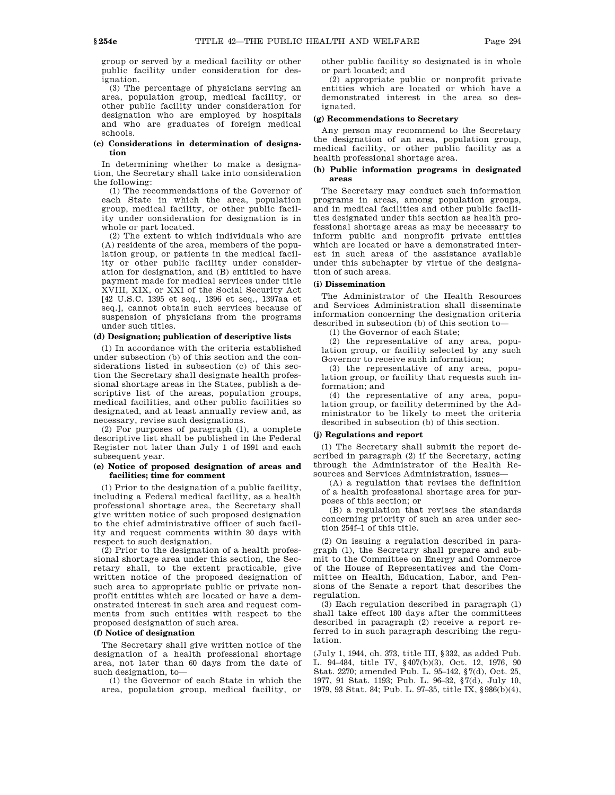group or served by a medical facility or other public facility under consideration for designation.

(3) The percentage of physicians serving an area, population group, medical facility, or other public facility under consideration for designation who are employed by hospitals and who are graduates of foreign medical schools.

## **(c) Considerations in determination of designation**

In determining whether to make a designation, the Secretary shall take into consideration the following:

(1) The recommendations of the Governor of each State in which the area, population group, medical facility, or other public facility under consideration for designation is in whole or part located.

(2) The extent to which individuals who are (A) residents of the area, members of the population group, or patients in the medical facility or other public facility under consideration for designation, and (B) entitled to have payment made for medical services under title XVIII, XIX, or XXI of the Social Security Act [42 U.S.C. 1395 et seq., 1396 et seq., 1397aa et seq.], cannot obtain such services because of suspension of physicians from the programs under such titles.

# **(d) Designation; publication of descriptive lists**

(1) In accordance with the criteria established under subsection (b) of this section and the considerations listed in subsection (c) of this section the Secretary shall designate health professional shortage areas in the States, publish a descriptive list of the areas, population groups, medical facilities, and other public facilities so designated, and at least annually review and, as necessary, revise such designations.

(2) For purposes of paragraph (1), a complete descriptive list shall be published in the Federal Register not later than July 1 of 1991 and each subsequent year.

# **(e) Notice of proposed designation of areas and facilities; time for comment**

(1) Prior to the designation of a public facility, including a Federal medical facility, as a health professional shortage area, the Secretary shall give written notice of such proposed designation to the chief administrative officer of such facility and request comments within 30 days with respect to such designation.

(2) Prior to the designation of a health professional shortage area under this section, the Secretary shall, to the extent practicable, give written notice of the proposed designation of such area to appropriate public or private nonprofit entities which are located or have a demonstrated interest in such area and request comments from such entities with respect to the proposed designation of such area.

# **(f) Notice of designation**

The Secretary shall give written notice of the designation of a health professional shortage area, not later than 60 days from the date of such designation, to—

(1) the Governor of each State in which the area, population group, medical facility, or other public facility so designated is in whole or part located; and

(2) appropriate public or nonprofit private entities which are located or which have a demonstrated interest in the area so designated.

### **(g) Recommendations to Secretary**

Any person may recommend to the Secretary the designation of an area, population group, medical facility, or other public facility as a health professional shortage area.

## **(h) Public information programs in designated areas**

The Secretary may conduct such information programs in areas, among population groups, and in medical facilities and other public facilities designated under this section as health professional shortage areas as may be necessary to inform public and nonprofit private entities which are located or have a demonstrated interest in such areas of the assistance available under this subchapter by virtue of the designation of such areas.

# **(i) Dissemination**

The Administrator of the Health Resources and Services Administration shall disseminate information concerning the designation criteria described in subsection (b) of this section to—

(1) the Governor of each State;

(2) the representative of any area, population group, or facility selected by any such Governor to receive such information;

(3) the representative of any area, population group, or facility that requests such information; and

(4) the representative of any area, population group, or facility determined by the Administrator to be likely to meet the criteria described in subsection (b) of this section.

# **(j) Regulations and report**

(1) The Secretary shall submit the report described in paragraph (2) if the Secretary, acting through the Administrator of the Health Resources and Services Administration, issues—

(A) a regulation that revises the definition of a health professional shortage area for purposes of this section; or

(B) a regulation that revises the standards concerning priority of such an area under section 254f–1 of this title.

(2) On issuing a regulation described in paragraph (1), the Secretary shall prepare and submit to the Committee on Energy and Commerce of the House of Representatives and the Committee on Health, Education, Labor, and Pensions of the Senate a report that describes the regulation.

(3) Each regulation described in paragraph (1) shall take effect 180 days after the committees described in paragraph (2) receive a report referred to in such paragraph describing the regulation.

(July 1, 1944, ch. 373, title III, §332, as added Pub. L. 94–484, title IV, §407(b)(3), Oct. 12, 1976, 90 Stat. 2270; amended Pub. L. 95–142, §7(d), Oct. 25, 1977, 91 Stat. 1193; Pub. L. 96–32, §7(d), July 10, 1979, 93 Stat. 84; Pub. L. 97–35, title IX, §986(b)(4),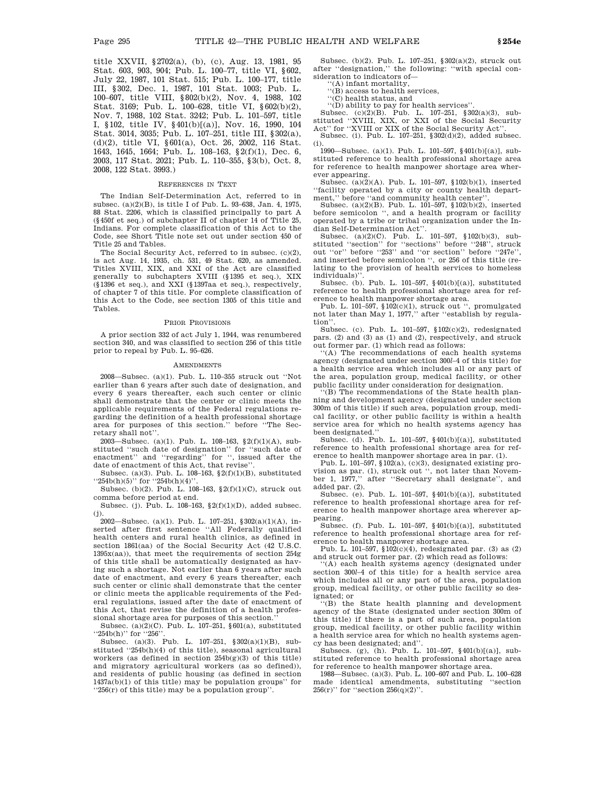title XXVII, §2702(a), (b), (c), Aug. 13, 1981, 95 Stat. 603, 903, 904; Pub. L. 100–77, title VI, §602, July 22, 1987, 101 Stat. 515; Pub. L. 100–177, title III, §302, Dec. 1, 1987, 101 Stat. 1003; Pub. L. 100–607, title VIII, §802(b)(2), Nov. 4, 1988, 102 Stat. 3169; Pub. L. 100–628, title VI, §602(b)(2), Nov. 7, 1988, 102 Stat. 3242; Pub. L. 101–597, title I, §102, title IV, §401(b)[(a)], Nov. 16, 1990, 104 Stat. 3014, 3035; Pub. L. 107–251, title III, §302(a), (d)(2), title VI, §601(a), Oct. 26, 2002, 116 Stat. 1643, 1645, 1664; Pub. L. 108–163, §2(f)(1), Dec. 6, 2003, 117 Stat. 2021; Pub. L. 110–355, §3(b), Oct. 8, 2008, 122 Stat. 3993.)

#### REFERENCES IN TEXT

The Indian Self-Determination Act, referred to in subsec. (a)(2)(B), is title I of Pub. L. 93–638, Jan. 4, 1975, 88 Stat. 2206, which is classified principally to part A (§450f et seq.) of subchapter II of chapter 14 of Title 25, Indians. For complete classification of this Act to the Code, see Short Title note set out under section 450 of Title 25 and Tables.

The Social Security Act, referred to in subsec. (c)(2), is act Aug. 14, 1935, ch. 531, 49 Stat. 620, as amended. Titles XVIII, XIX, and XXI of the Act are classified generally to subchapters XVIII (§1395 et seq.), XIX (§1396 et seq.), and XXI (§1397aa et seq.), respectively, of chapter 7 of this title. For complete classification of this Act to the Code, see section 1305 of this title and Tables.

### PRIOR PROVISIONS

A prior section 332 of act July 1, 1944, was renumbered section 340, and was classified to section 256 of this title prior to repeal by Pub. L. 95–626.

#### **AMENDMENTS**

2008—Subsec. (a)(1). Pub. L. 110–355 struck out ''Not earlier than 6 years after such date of designation, and every 6 years thereafter, each such center or clinic shall demonstrate that the center or clinic meets the applicable requirements of the Federal regulations regarding the definition of a health professional shortage area for purposes of this section.'' before ''The Secretary shall not''.

2003—Subsec. (a)(1). Pub. L. 108–163, §2(f)(1)(A), substituted ''such date of designation'' for ''such date of enactment'' and ''regarding'' for '', issued after the date of enactment of this Act, that revise'

Subsec. (a)(3). Pub. L. 108–163,  $\S 2(f)(1)(B)$ , substituted ''254b(h)(5)'' for ''254b(h)(4)''.

Subsec. (b)(2). Pub. L. 108–163, §2(f)(1)(C), struck out comma before period at end.

Subsec. (j). Pub. L. 108–163, §2(f)(1)(D), added subsec. (j).

2002—Subsec. (a)(1). Pub. L. 107–251, §302(a)(1)(A), inserted after first sentence ''All Federally qualified health centers and rural health clinics, as defined in section 1861(aa) of the Social Security Act (42 U.S.C. 1395x(aa)), that meet the requirements of section 254g of this title shall be automatically designated as having such a shortage. Not earlier than 6 years after such date of enactment, and every 6 years thereafter, each such center or clinic shall demonstrate that the center or clinic meets the applicable requirements of the Federal regulations, issued after the date of enactment of this Act, that revise the definition of a health professional shortage area for purposes of this section.''

Subsec. (a)(2)(C). Pub. L. 107-251, §601(a), substituted "254b(h)" for "256'

Subsec. (a)(3). Pub. L. 107–251, §302(a)(1)(B), substituted "254b(h)(4) of this title), seasonal agricultural workers (as defined in section  $254b(g)(3)$  of this title) and migratory agricultural workers (as so defined)), and residents of public housing (as defined in section 1437a(b)(1) of this title) may be population groups'' for ''256(r) of this title) may be a population group''.

Subsec. (b)(2). Pub. L. 107–251, §302(a)(2), struck out after ''designation,'' the following: ''with special consideration to indicators of—

''(A) infant mortality, ''(B) access to health services,

''(C) health status, and

''(D) ability to pay for health services''.

Subsec. (c)(2)(B). Pub. L. 107–251, §302(a)(3), substituted "XVIII, XIX, or XXI of the Social Security Act'' for ''XVIII or XIX of the Social Security Act''.

Subsec. (i). Pub. L. 107-251, §302(d)(2), added subsec. (i).

1990—Subsec. (a)(1). Pub. L. 101–597, §401(b)[(a)], substituted reference to health professional shortage area for reference to health manpower shortage area wherever appearing.

Subsec. (a)(2)(A). Pub. L. 101–597, §102(b)(1), inserted ''facility operated by a city or county health department,'' before ''and community health center''.

Subsec. (a)(2)(B). Pub. L. 101–597, §102(b)(2), inserted before semicolon ", and a health program or facility operated by a tribe or tribal organization under the Indian Self-Determination Act''.

Subsec. (a)(2)(C). Pub. L. 101–597, §102(b)(3), substituted "section" for "sections" before "248", struck out ''or'' before ''253'' and ''or section'' before ''247e'', and inserted before semicolon '', or 256 of this title (relating to the provision of health services to homeless individuals)''.

Subsec. (b). Pub. L. 101–597, §401(b)[(a)], substituted reference to health professional shortage area for ref-

erence to health manpower shortage area. Pub. L. 101–597, §102(c)(1), struck out '', promulgated not later than May 1, 1977,'' after ''establish by regulation''.

Subsec. (c). Pub. L. 101–597, §102(c)(2), redesignated pars. (2) and (3) as (1) and (2), respectively, and struck out former par. (1) which read as follows:

 $(A)$  The recommendations of each health systems agency (designated under section 300*l*–4 of this title) for a health service area which includes all or any part of the area, population group, medical facility, or other public facility under consideration for designation.

'(B) The recommendations of the State health planning and development agency (designated under section 300m of this title) if such area, population group, medical facility, or other public facility is within a health service area for which no health systems agency has been designated.''

Subsec. (d). Pub. L. 101–597, §401(b)[(a)], substituted reference to health professional shortage area for reference to health manpower shortage area in par. (1).

Pub. L. 101–597, §102(a), (c)(3), designated existing provision as par. (1), struck out '', not later than November 1, 1977,'' after ''Secretary shall designate'', and added par. (2).

Subsec. (e). Pub. L. 101–597, §401(b)[(a)], substituted reference to health professional shortage area for reference to health manpower shortage area wherever appearing.

Subsec. (f). Pub. L. 101–597,  $\{401(b)[(a)]$ , substituted reference to health professional shortage area for ref-

erence to health manpower shortage area. Pub. L. 101–597, §102(c)(4), redesignated par. (3) as (2) and struck out former par. (2) which read as follows:

''(A) each health systems agency (designated under section 300*l*–4 of this title) for a health service area which includes all or any part of the area, population group, medical facility, or other public facility so designated; or

''(B) the State health planning and development agency of the State (designated under section 300m of this title) if there is a part of such area, population group, medical facility, or other public facility within a health service area for which no health systems agency has been designated; and''. Subsecs. (g), (h). Pub. L. 101–597, §401(b)[(a)], sub-

stituted reference to health professional shortage area for reference to health manpower shortage area.

1988—Subsec. (a)(3). Pub. L. 100–607 and Pub. L. 100–628 made identical amendments, substituting ''section  $256(r)$ " for "section  $256(q)(2)$ ".